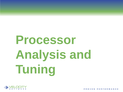# **Processor Analysis and Tuning**

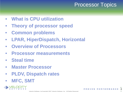# Processor Topics

- **What is CPU utilization**
- **Theory of processor speed**
- **Common problems**
- **LPAR, HiperDispatch, Horizontal**
- **Overview of Processors**
- **Processor measurements**
- **Steal time**
- **Master Processor**
- **PLDV, Dispatch rates**
- **MFC, SMT**



6/  $\tilde{2}$  $2/$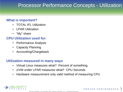### Processor Performance Concepts - Utilization

#### **What is important?**

- TOTAL IFL Utilization
- I PAR Utilization
- "My" share

#### **CPU Utilization used for:**

- Performance Analysis
- Capacity Planning
- Accounting/Chargeback

#### **Utilization measured in many ways**

- Virtual Linux measures what? Percent of something.
- z/VM under LPAR measures what? CPU Seconds
- Hardware measurement only valid method of measuring CPU



6/ 2  $2/$  $\bar{3}$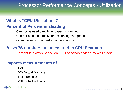### Processor Performance Concepts - Utilization

### **What is "CPU Utilization"?**

#### **Percent of Percent misleading**

- Can not be used directly for capacity planning
- Can not be used directly for accounting/chargeback
- Often misleading for performance analysis

### **All zVPS numbers are measured in CPU Seconds**

• Percent is always based on CPU seconds divided by wall clock

#### **Impacts measurements of**

- LPAR
- z/VM Virtual Machines
- Linux processes
- zVSE Jobs/Partitions

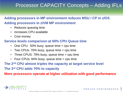### Processor CAPACITY Concepts – Adding IFLs

#### **Adding processors in MP environment reduces MSU / CP in z/OS Adding processors in z/VM MP environment**

- Reduces queuing time
- increases CPU available
- Cost money

#### **Service levels comparison at 50% CPU Queue time**

- One CPU:  $50\%$  busy, queue time = cpu time
- Two CPUs:  $70\%$  busy, queue time = cpu time
- Three CPUS: 79% busy, queue time = cpu time
- Four CPUs:  $84\%$  busy, queue time  $=$  cpu time
- **The 2nd CPU almost triples the capacity at target service level The 3rd CPU adds 70% to capacity**

**More processors operate at higher utilization with good performance** 



6/  $\tilde{5}$  $2/$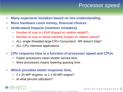### Processor speed

- **Many expensive mistakes based on mis-understanding**
- **More hardware costs money, financial choices**
- **Understand Impacts (common mistakes)**
	- Number of vcpu in LPAR (impact on relative weight?)
	- Number of vcpu in virtual machine (impact on relative share)?
	- ALL single threaded large CPU Consumers! MP doesn't help?
	- ALL CPU intensive applications

#### • **CPU response time is a function of processor speed and CPUs.**

- Faster processors mean shorter service time.
- More processors means lowering queuing time.

#### • **Which provides better response time,**

- 2 x 20 MIP engines, or 1 x 40 MIP engine?
- at what percent utilization?

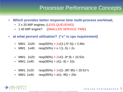### Processor Performance Concepts

- **Which provides better response time multi-process workload,** 
	- 2 x 20 MIP engines, (LESS QUEUEING)
	- 1 40 MIP engine? (SMALLER SERVICE TIME)
- **at what percent utilization? ("x" is cpu requirement)**
	- MM1: 2x20: resp(50%) =  $2x/(1-(.5^* \cdot .5))$  = 2.66x
	- MM1:  $1x40$ :  $resp(50\%) = x / (1-.5) = 2x$
	- MM1:  $2x20$ : resp(90%) =  $2x/(1-9^* \cdot 9) = 10.52x$
	- MM1: 1x40: resp(90%) =  $x/(1-.9) = 10x$
	- MM1: 2x20: resp(95%) =  $2x/(1-.95*.95) = 20.51*x$
	- MM1: 1x40: resp(95%) =  $x/(1-.95) = 20x$

6/  $\vec{v}$  $2/$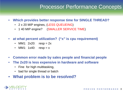### Processor Performance Concepts

#### • **Which provides better response time for SINGLE THREAD?**

- 2 x 20 MIP engines, (LESS QUEUEING)
- 1 40 MIP engine? (SMALLER SERVICE TIME)
- **at what percent utilization? ("x" is cpu requirement)**
	- MM1:  $2x20$ :  $resp = 2x$
	- MM1:  $1x40$ :  $resp = x$
- **Common error made by sales people and financial people**
- **The 2x20 is less expensive in hardware and software**
	- Fine for high multitasking,
	- bad for single thread or batch
- **What problem is to be resolved?**

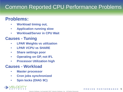# Common Reported CPU Performance Problems

### **Problems:**

- **Workload timing out,**
- **Application running slow**
- **Workload/Server in CPU Wait**

#### **Causes - Tuning**

- **LPAR Weights vs utilization**
- **LPAR VCPU vs SHARE**
- **Share settings poor**
- **Operating on GP, not IFL**
- **Processor Utilization high**

#### **Causes - Workload**

- **Master processor**
- **Cron jobs synchronized**
- **Spin locks (DIAG 9C)**

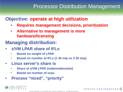### Processor Distribution Management

### **Objective: operate at high utilization**

- **Requires management decisions, prioritization**
- **Alternative to management is more hardware/licensing**
- **Managing distribution:**
- **z/VM LPAR share of IFLs** 
	- **Based on weight of LPAR**
	- **Based on number of IFLs (1 40 mip vs 2 20 mip)**
- **Linux server's share is**
	- **Share of z/VM LPAR (relative/absolute)**
	- **Based on number of vcpu**
- **Process "niced", "priority"**

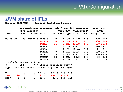# LPAR Configuration

#### **z/VM share of IFLs**

|               | Report: ESALPARS Logical Partition Summary<br><--Complex--> <--------Logical Partition-------> <-Assigned |                   |                           |                                                     |                |          |                 |            |             |                                  |             |  |  |  |
|---------------|-----------------------------------------------------------------------------------------------------------|-------------------|---------------------------|-----------------------------------------------------|----------------|----------|-----------------|------------|-------------|----------------------------------|-------------|--|--|--|
|               |                                                                                                           |                   |                           |                                                     |                |          |                 |            |             |                                  |             |  |  |  |
|               |                                                                                                           |                   | <b>Phys Dispatch</b>      |                                                     |                |          |                 |            |             | Virt CPU <%Assigned> <---LPAR--> |             |  |  |  |
| <b>Time</b>   |                                                                                                           |                   |                           | CPUs Slice Name Nbr CPUs Type Total Ovhd Weight Pct |                |          |                 |            |             |                                  |             |  |  |  |
|               |                                                                                                           |                   |                           |                                                     |                | --- ---- |                 |            |             |                                  |             |  |  |  |
| 00:15:00      |                                                                                                           |                   |                           | 23 Dynamic Totals: 0 22 CP                          |                |          |                 |            | 506.0 4.5   | 999                              | 100         |  |  |  |
|               |                                                                                                           |                   |                           | <b>Totals: 0</b>                                    |                |          | <b>23 IFL</b>   |            | $903.1$ 8.6 | 1000                             | 100         |  |  |  |
|               |                                                                                                           |                   |                           | <b>ZVMQA</b>                                        |                |          | 11 6 IFL        |            | 374.8 0.9   |                                  | 150 15.0    |  |  |  |
|               |                                                                                                           |                   |                           | <b>MVSPRD</b>                                       | $\overline{7}$ | 10       | $\mathbf{CP}$   | 320.1      | 3.2         |                                  | 860 86.1    |  |  |  |
|               |                                                                                                           |                   |                           | <b>MVSQA</b>                                        | $\mathbf{1}$   | 6        | $\mathbf{CP}$   | 181.8      | 1.1         | 71                               | 7.1         |  |  |  |
|               |                                                                                                           |                   |                           | <b>ZVMDEQ</b>                                       | $9^{\circ}$    |          | $4$ IFL         | 131.6      | 2.0         | 100                              | <b>10.0</b> |  |  |  |
|               |                                                                                                           |                   |                           | <b>ZVMPRD</b>                                       | 8              |          | <b>10 IFL</b>   | 333.7      | 4.9         |                                  | 650 65.0    |  |  |  |
|               |                                                                                                           |                   |                           | <b>ZVMSHR</b>                                       | 12             |          |                 | 3 IFL 63.0 | 0.8         | 80                               | 8.0         |  |  |  |
|               |                                                                                                           |                   |                           | <b>MVSTST</b>                                       | 17             |          |                 | 3 CP 5.1   | 0.1         | 8                                | 0.8         |  |  |  |
|               |                                                                                                           |                   | Totals by Processor type: |                                                     |                |          |                 |            |             |                                  |             |  |  |  |
|               |                                                                                                           |                   |                           | <---------CPU-------> <-Shared Processor busy->     |                |          |                 |            |             |                                  |             |  |  |  |
|               |                                                                                                           |                   |                           | Type Count Ded shared Total Logical Ovhd Mgmt       |                |          |                 |            |             |                                  |             |  |  |  |
|               |                                                                                                           |                   |                           |                                                     |                |          |                 |            |             |                                  |             |  |  |  |
| $\mathbf{CP}$ |                                                                                                           | 7<br>$\mathbf{O}$ | $7\phantom{.0}$           | 511.9                                               |                |          | $501.5$ 4.5 5.9 |            |             |                                  |             |  |  |  |
| <b>IFL</b>    | $\overline{10}$                                                                                           | $\mathbf{o}$      | 10                        | 915.6                                               |                |          | 894.5 8.6 12.5  |            |             |                                  |             |  |  |  |
| ZIIP          | $\mathbf{3}$                                                                                              | $\mathbf 0$       | $\mathbf{3}$              | 23.9 22.3 0.4 1.2                                   |                |          |                 |            |             |                                  |             |  |  |  |

6/  $1\AA$ 

 $2/$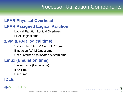# **Processor Utilization Components**

### **LPAR Physical Overhead**

### **LPAR Assigned Logical Partition**

- **Logical Partition Logical Overhead**
- LPAR logical time

### **z/VM (LPAR logical time)**

- System Time (z/VM Control Program)
- Emulation (z/VM Guest time)
- User Overhead (allocated system time)

### **Linux (Emulation time)**

- System time (kernel time)
- IRQ Time
- User time

### **IDLE**

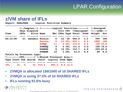# LPAR Configuration

#### **z/VM share of IFLs**

|            | <b>Report: ESALPARS</b> |             |                           | Logical Partition Summary                                                        |             |      |               |               |           |                                     |          |
|------------|-------------------------|-------------|---------------------------|----------------------------------------------------------------------------------|-------------|------|---------------|---------------|-----------|-------------------------------------|----------|
| Time       |                         |             | Phys Dispatch             | <--Complex--> <--------Logical Partition-------> <-Assigned<br><b>Slice Name</b> |             |      |               |               |           | Virt CPU <%Assigned> <---LPAR-->    |          |
|            |                         | <b>CPUS</b> |                           | ---------                                                                        |             |      |               |               | ----      | Nbr CPUs Type Total Ovhd Weight Pct |          |
| 00:15:00   |                         |             |                           | 23 Dynamic Totals:                                                               | $\mathbf 0$ |      | 22 CP         |               | 506.0 4.5 | 999                                 | 100      |
|            |                         |             |                           | <b>Totals:</b>                                                                   | $\mathbf 0$ |      | <b>23 IFL</b> | 903.1         | 8.6       | 1000                                | 100      |
|            |                         |             |                           | <b>ZVMQA</b>                                                                     |             | 11 — | 6 IFL         | 374.8         | 0.9       |                                     | 150 15.0 |
|            |                         |             |                           | <b>ZVMDEQ</b>                                                                    | $9^{\circ}$ |      |               | 4 IFL 131.6   | 2.0       |                                     | 100 10.0 |
|            |                         |             |                           | <b>ZVMPRD</b>                                                                    | 8           |      | <b>10 IFL</b> | $333.7$ $4.9$ |           |                                     | 650 65.0 |
|            |                         |             |                           | <b>ZVMSHR</b>                                                                    | 12          |      | 3 IFL         | 63.0          | 0.8       | 80                                  | 8.0      |
|            |                         |             | Totals by Processor type: |                                                                                  |             |      |               |               |           |                                     |          |
|            |                         |             |                           | <---------CPU-------> <-Shared Processor busy->                                  |             |      |               |               |           |                                     |          |
|            |                         |             |                           | Type Count Ded shared Total Logical Ovhd Mgmt                                    |             |      |               |               |           |                                     |          |
|            |                         |             |                           |                                                                                  |             |      |               |               |           |                                     |          |
| <b>IFL</b> | <b>10</b>               | $\mathbf 0$ | 10                        | 915.6                                                                            | 894.5       |      | 8.6 12.5      |               |           |                                     |          |

- **ZVMQA is allocated 150/1000 of 10 SHARED IFLs**
- **ZVMQA is using 37.5% of 10 SHARED IFLs**
- **IFLs running 91.6% busy**



Velocity Software, IncCopyright 2007 Velocity Software, Inc. All Rights Reserved.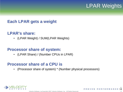### LPAR Weights

#### **Each LPAR gets a weight**

#### **LPAR's share:**

• (LPAR Weight) / SUM(LPAR Weights)

#### **Processor share of system:**

• (LPAR Share) / (Number CPUs in LPAR)

#### **Processor share of a CPU is**

• (Processor share of system) \* (Number physical processors)

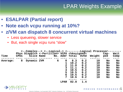# LPAR Weights Example

- **ESALPAR (Partial report)**
- **Note each vcpu running at 10%?**
- **z/VM can dispatch 8 concurrent virtual machines**
	- Less queueing, slower service
	- But, each single vcpu runs "slow"

|          |             | <--Complex--> <--Logical-> <---------Logical Processor- |   |             |                |      |        |        |      |
|----------|-------------|---------------------------------------------------------|---|-------------|----------------|------|--------|--------|------|
|          |             | Phys Dispatch <-Partition> VCPU <%Assigned>             |   |             |                |      |        | $Cap-$ | Wait |
| Time     | <b>CPUS</b> | Slice Name                                              |   |             | No. Addr Total | Ovhd | Weight | ped    | Comp |
|          |             |                                                         |   |             |                |      |        |        |      |
| Average: | 8           | Dynamic ZVM                                             | 6 | 0           | 8.3            | 0.2  | 10     | No     | No   |
|          |             |                                                         |   |             | 10.2           | 0.2  | 10     | No     | No   |
|          |             |                                                         |   | 2           | 11.0           | 0.2  | 10     | No     | No   |
|          |             |                                                         |   | 3           | 11.1           | 0.2  | 10     | No     | No   |
|          |             |                                                         |   | 4           | 10.5           | 0.2  | 10     | No     | No   |
|          |             |                                                         |   | 5           | 10.5           | 0.2  | 10     | No     | No   |
|          |             |                                                         |   | 6           | 10.5           | 0.2  | 10     | No     | No   |
|          |             |                                                         |   | 7           | 10.6           | 0.2  | 10     | No     | No   |
|          |             |                                                         |   |             |                |      |        |        |      |
|          |             |                                                         |   | <b>LPAR</b> | 82.8           | 1.4  |        |        |      |

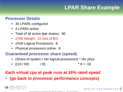# **LPAR Share Example**

#### **Processor Details**

- 30 LPARs configured
- 4 LPARs active
- Total of all active Ipar shares: 60
- z/VM Weight: 10 (out of 60)
- z/VM Logical Processors: 8
- Physical processors online: 8

#### **Guaranteed processor share (speed)**

- (Share of system / nbr logical processors) \* nbr phys
- $((10/60)$  / 8) \* 8 = .16

### **Each virtual cpu at peak runs at 16% rated spead**

• **(go back to processor performance concepts)**

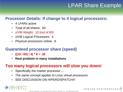### LPAR Share Example

#### **Processor Details: If change to 4 logical processors:**

- 4 LPARs active
- Total of all shares: 60
- z/VM Weight: 10 (out of 60)
- z/VM Logical Processors: 4
- Physical processors online: 8

#### **Guaranteed processor share (speed)**

- $\cdot$  ((10 / 60) / 4)  $*$  8 = .32
- **Real problem in many installations**

#### **Too many logical processors will slow you down!**

- Specifically the master processor....
- The same concept applies to Linux virtual processors
- SEE DISCUSSION ON HIPERDISPATCH!!!

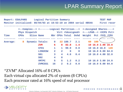# LPAR Summary Report

|          |             |               | Report: ESALPARS Logical Partition Summary                         |                |              |             |                     |                                                   |        | <b>TEST MAP</b>   |             |
|----------|-------------|---------------|--------------------------------------------------------------------|----------------|--------------|-------------|---------------------|---------------------------------------------------|--------|-------------------|-------------|
|          |             |               | Monitor initialized: 08/04/03 at 18:52:10 on 2084 serial 4B54A     |                |              |             |                     |                                                   |        |                   | First recor |
|          |             |               | <--Complex--> <-------Logical Partition---> <-Assigned Shares----> |                |              |             |                     |                                                   |        |                   |             |
|          |             | Phys Dispatch |                                                                    |                |              |             |                     | Virt <%Assigned> <---LPAR--> <vcpu pct=""></vcpu> |        |                   |             |
| Time     | <b>CPUS</b> |               | <b>Slice Name</b>                                                  |                |              |             | Nbr CPUs Total Ovhd | Weight Pct /SYS / CPU                             |        |                   |             |
|          |             |               |                                                                    |                |              |             |                     |                                                   |        |                   |             |
| Average: | 8           |               | Dynamic Totals:                                                    | $\mathbf 0$    |              | 22 188.7    | 2.1                 |                                                   | 60 100 |                   |             |
|          |             |               | <b>ZVM</b>                                                         | 6              |              | 8 82.8      | 1.4                 |                                                   |        | 10 16.0 2.00 16.0 |             |
|          |             |               | <b>CF01</b>                                                        | 1              | $\mathbf{1}$ | 99.9        | 0.0                 |                                                   |        | 10 16.0 16.0 128  |             |
|          |             |               | <b>LINUXSW</b>                                                     | $\overline{2}$ | $\mathbf{2}$ | $\mathbf 0$ | $\overline{0}$      |                                                   |        | 10 16.0 8.00 64.0 |             |
|          |             |               | S <sub>01</sub>                                                    | $\overline{3}$ | 4            | 4.6         | 0.4                 |                                                   |        | 10 16.0 4.00 32.0 |             |
|          |             |               | S <sub>02</sub>                                                    | 4              | $\mathbf 0$  |             |                     |                                                   |        |                   |             |
|          |             |               | <b>VMTPC</b>                                                       | 5              | 5            | 1.2         | 0.2                 |                                                   |        | 10 16.0 3.00 24.0 |             |
|          |             |               | <b>ZVMCSS1</b>                                                     | 16             | $\mathbf{2}$ | 0.2         | 0.0                 |                                                   |        | 10 16.0 8.00 64.0 |             |

#### "ZVM" Allocated 16% of 8 CPUs Each virtual cpu allocated 2% of system (8 CPUs) Each processor rated at 16% speed of real processor

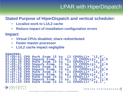# LPAR with HiperDispatch

#### **Stated Purpose of HiperDispatch and vertical scheduler:**

- **Localize work to L1/L2 cache**
- **Reduce impact of installation configuration errors**

#### **Impact**

- **Virtual CPUs disabled, share redistributed**
- **Faster master processor**
- **L1/L2 cache impact negligible**

```
ESAOPER:
07:00:41 CPU Park from 15 to 13 CPUUtil= "12.9", 07:00:43 CPU Unpark from 13 to 15 CPUUtil= "12.5
07:05:35 CPU Park from 15 to 13 CPUUtil= "12.2", 07:05:37 CPU Unpark from 13 to 15 CPUUtil= "12.0
07:05:53 CPU Park from 15 to 12 CPUUtil= "12.0", 07:05:55 CPU Unpark from 12 to 15 CPUUtil= "10.4
07:07:13 CPU Park from 15 to 13 CPUUtil= "12.5", 07:07:15 CPU Unpark from 13 to 15 CPUUtil= "11.9
07:07:19 CPU Park from 15 to 13 CPUUtil= "12.1", 07:07:21 CPU Unpark from 13 to 15 CPUUtil= "11.8
07:07:29 CPU Park from 15 to 13 CPUUtil= "12.1",
```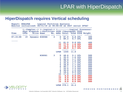### LPAR with HiperDispatch

#### **HiperDispatch requires Vertical scheduling**

| Report: ESALPAR Logical Partition Analysis<br>Monitor initialized: 05/31/16 at 00:00:00 on 2827 serial 2F5A7<br><--Complex--> <--Logical-> <-----------Logical Processor- |                                                                                                                                        |               |                         |                                                                                                                                                 |                                                                                                                                                                          |                              |                                                                                                                                                                                      |                                                                                                       |  |  |  |  |  |
|---------------------------------------------------------------------------------------------------------------------------------------------------------------------------|----------------------------------------------------------------------------------------------------------------------------------------|---------------|-------------------------|-------------------------------------------------------------------------------------------------------------------------------------------------|--------------------------------------------------------------------------------------------------------------------------------------------------------------------------|------------------------------|--------------------------------------------------------------------------------------------------------------------------------------------------------------------------------------|-------------------------------------------------------------------------------------------------------|--|--|--|--|--|
|                                                                                                                                                                           | Phys Dispatch <- Partition> VCPU <%Assigned> VCPU<br>Time CPUs Slice Name No. Addr Total Ovhd TYPE Weight<br>----- ---- -------- ----- |               |                         |                                                                                                                                                 |                                                                                                                                                                          |                              |                                                                                                                                                                                      |                                                                                                       |  |  |  |  |  |
|                                                                                                                                                                           | 07:15:00  19 Dynamic R3SYSG  2  0  87.9  0.8 IFL                                                                                       |               |                         | $1 \quad$                                                                                                                                       | ---- ----- -----                                                                                                                                                         | 89.3 0.7 IFL                 |                                                                                                                                                                                      | 400<br>400                                                                                            |  |  |  |  |  |
|                                                                                                                                                                           |                                                                                                                                        |               |                         | 11<br>13 <sup>7</sup><br>14                                                                                                                     | 81.9<br>12 77.5 1.0 IFL<br>------                                                                                                                                        | 75.5 0.9 IFL<br>60.9 0.7 IFL | $0.8$ IFL                                                                                                                                                                            | 400<br>400<br>400<br>400                                                                              |  |  |  |  |  |
|                                                                                                                                                                           |                                                                                                                                        |               |                         | <b>LPAR</b>                                                                                                                                     |                                                                                                                                                                          | ----<br>1245 11.8            |                                                                                                                                                                                      |                                                                                                       |  |  |  |  |  |
|                                                                                                                                                                           |                                                                                                                                        | <b>R3SYS1</b> | $\overline{\mathbf{3}}$ | $\mathbf 0$<br>$\mathbf{1}$<br>$\overline{\mathbf{2}}$<br>$\frac{1}{4}$<br>5<br>6 <sup>1</sup><br>$\overline{\mathbf{7}}$<br>8<br>9<br>10<br>14 | 48.6<br>$35.5$<br>$40.4$<br>38.9<br>36.8<br>38.8<br>$\frac{40.1}{32.5}$<br>30.0<br>18.6<br>17.8<br>$\begin{array}{cc} 11 & 0.0 \\ 12 & 0.0 \end{array}$<br>13 0.0<br>0.0 |                              | $2.1$ IFL<br><b>1.6 IFL</b><br>1.7 IFL<br>1.5 IFL<br>1.7 IFL<br>1.7 IFL<br>1.3 IFL<br>1.3 IFL<br>1.2 IFL<br>$0.9$ IFL<br>1.4 IFL<br>$0.0$ IFL<br>$0.0$ IFL<br>$0.0$ IFL<br>$0.0$ IFL | 500<br>500<br>500<br>500<br>500<br>500<br>500<br>500<br>500<br>500<br>500<br>500<br>500<br>500<br>500 |  |  |  |  |  |
|                                                                                                                                                                           |                                                                                                                                        |               |                         |                                                                                                                                                 | <b>LPAR 378.1</b>                                                                                                                                                        | 16.4                         |                                                                                                                                                                                      |                                                                                                       |  |  |  |  |  |



 $2/$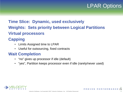### LPAR Options

### **Time Slice: Dynamic, used exclusively Weights: Sets priority between Logical Partitions Virtual processors**

### **Capping**

- Limits Assigned time to LPAR
- Useful for outsourcing, fixed contracts

### **Wait Completion**

- "no" gives up processor if idle (default)
- "yes", Partition keeps processor even if idle (rarely/never used)



6/ ROVEN PERFORMANCE  $2\mathring{1}$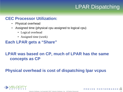# LPAR Dispatching

#### **CEC Processor Utilization:**

- Physical overhead
- Assigned time (physical cpu assigned to logical cpu)
	- Logical overhead
	- Assigned time (work)
- **Each LPAR gets a "Share"**

### **LPAR was based on CP, much of LPAR has the same concepts as CP**

### **Physical overhead is cost of dispatching lpar vcpus**



6/ PROVEN PERFORMANCE  $2\tilde{2}$ 

 $2/$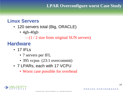#### **LPAR Overconfigure worst Case Study**

### **Linux Servers**

- 120 servers total (Big, ORACLE)
	- $\cdot$  4gb-40gb

 $- (1 / 2)$  size from original SUN servers)

### **Hardware**

- 17 IFLs
	- 7 servers per IFL
	- 395 vcpus (23:1 overcommit)
- 7 LPARs, each with 17 VCPU
	- Worst case possible for overhead

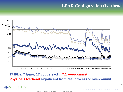#### **LPAR Configuration Overhead**



#### **17 IFLs, 7 lpars, 17 vcpus each, 7:1 overcommit Physical Overhead significant from real processor overcommit**



PERFORMANCE

Copyright 2011 Velocity Software, Inc. All Rights Reserved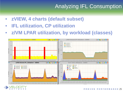# Analyzing IFL Consumption

- **zVIEW, 4 charts (default subset)**
- **IFL utilization, CP utilization**

E т W

• **z/VM LPAR utilization, by workload (classes)**

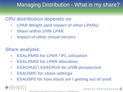# Managing Distribution - What is my share?

### **CPU distribution depends on**

- **LPAR Weight (and impact of other LPARs)**
- **Share within z/VM LPAR**
- **Impact of other virtual servers**

### **Share analysis:**

- **ESALPARS for LPAR / IFL utilization**
- **ESALPARS for LPAR allocation**
- **ESACPUU / ESACPUA for z/VM perspective**
- **ESAUSRC for share settings**
- **ESAUSP2 for how much am I getting out of used**

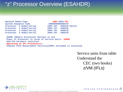# "z" Processor Overview (ESAHDR)

Machine Model/Type **z9EC:2094/707**<br>System Sequence Code 0000000000006EA7D **System Sequence Code Processor 0 model/serial 2094-707 /0AEA7D Master**  Processor 1 model/serial **Processor 2 model/serial 2094-707 /0AEA7D Processor 3 model/serial 2094-707 /0AEA7D** 

**ESAME (Memory Extension) Nucleus in use Power of processor in terms of service Units: 25000 ESA/370 hardware installed Operating on IFL Processor(s) Channel Path Measurement Facility(CPMF) Extended is installed** 

> Service units from table Understand the CEC (two books) z/VM (IFLs)



6/  $2\bar{z}$ 

 $2/$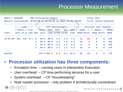### Processor Measurement

| <b>Report: ESACPUU</b>                                             |                                       |                |     |                | CPU Utilization Report |             |     |                                                       |            |    |              | Linux Test   |              |                                                                                      |
|--------------------------------------------------------------------|---------------------------------------|----------------|-----|----------------|------------------------|-------------|-----|-------------------------------------------------------|------------|----|--------------|--------------|--------------|--------------------------------------------------------------------------------------|
| Monitor initialized: $05/06/08$ at $12:00:00$ on 2094 serial AEA7D |                                       |                |     |                |                        |             |     |                                                       |            |    |              |              |              | First record analyzed:                                                               |
|                                                                    |                                       | <----Load----> |     |                |                        |             |     |                                                       |            |    |              |              |              | $\leftarrow$ -----CPU (percentages)-----> $\leftarrow$ -----External (per second)--- |
|                                                                    | <-Users-> Tran<br>Actv In Q / sec CPU |                |     |                |                        |             |     |                                                       |            |    |              |              |              | Total Emul User Sys Idie <--Page---> <--Spool--> RSCH+                               |
| Time                                                               |                                       |                |     |                |                        |             |     | util time ovrhd ovrhd time Read Write Read Write SSCH |            |    |              |              |              |                                                                                      |
|                                                                    |                                       |                |     |                |                        |             |     |                                                       |            |    |              |              |              |                                                                                      |
| 12:01:00                                                           | 103                                   | 118            | 9.1 | $\Omega$       | 92.8                   | 88.6        | 2.3 | 1.9                                                   | 7.2        | 11 | 52           | $\mathbf 0$  | $\mathbf{0}$ | 220                                                                                  |
|                                                                    |                                       |                |     | 1              | 93.8                   | 90.5        | 2.2 | 1.0                                                   | 6.2        | 14 | $\mathbf 0$  | $\mathbf 0$  | $\mathbf{O}$ | 182                                                                                  |
|                                                                    |                                       |                |     | 2 <sup>1</sup> | 94.4                   | 90.9        | 2.2 | 1.2                                                   | 5.6        | 17 | $\mathbf 0$  | $\mathbf 0$  | $\mathbf{0}$ | 196                                                                                  |
|                                                                    |                                       |                |     | $\mathbf{3}$   | 94.5                   | 90.9        | 2.1 | 1.5                                                   | 5.5        | 13 | $\mathbf{0}$ | $\mathbf{0}$ | $\Omega$     | 179                                                                                  |
|                                                                    |                                       |                |     |                |                        |             |     |                                                       |            |    |              |              |              |                                                                                      |
| System:                                                            |                                       |                |     |                |                        | 375.4 361.0 | 8.9 |                                                       | $5.5$ 24.4 | 55 | 52           | $\mathbf{0}$ | $\Omega$     | 778                                                                                  |

### • **Processor utilization has three components:**

- Emulation time running users in Interpretive Execution
- User overhead CP time performing services for a user
- System overhead CP "housekeeping"
- Note master processor only problem if architecturally constrained

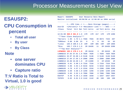### Processor Measurements User View

### **ESAUSP2:**

### **CPU Consumption in percent**

- **Total all user**
- **By user**
- **By Class**

#### **Note**

- **one server dominates CPU**
- **Capture ratio**

**T:V Ratio is Total to Virtual, 1.0 is good** 



| Report: ESAUSP2 User Resource Rate Report                               |                             |                                                 |
|-------------------------------------------------------------------------|-----------------------------|-------------------------------------------------|
| Monitor initialized: 05/06/08 at 12:00:00 on 2094 serial                |                             |                                                 |
|                                                                         |                             | <---CPU time--> <----Main Storage (pages)-----> |
| UserID <(Percent)> T:V <resident> Lock &lt;-----WSS-----&gt;</resident> |                             |                                                 |
| /Class Total Virt Rat Totl Activ -ed Totl Activ Avg                     |                             |                                                 |
| populate calle calle cal time called calle calle call called the        |                             |                                                 |
| 12:01:00 369.9 361.0 1.0 17M 17M 417 17M 17M 129K                       |                             |                                                 |
| ***User Class Analysis***                                               |                             |                                                 |
| *Servers 1.95 1.72 1.1 7566 7555 49 8674 7444 207                       |                             |                                                 |
| *CMSUser 0.00 0.00 23 0 0 0 63 63 63                                    |                             |                                                 |
| *Linux 184.0 180.6 1.0 15M 15M 305 15M 15M 185K                         |                             |                                                 |
| *Misc 183.7 178.5 1.0 2M 1642K 11 2M 1642K 328K                         |                             |                                                 |
| ***Top User Analysis***                                                 |                             |                                                 |
| LXPWK001 183.5 178.4 1.0 2M 1641K 3 2M 1641K 2M                         |                             |                                                 |
| LXWKB215 37.63 37.01 1.0 782K 782K                                      |                             | 1 782K 782K 782K                                |
| LXWKB211 33.97 33.88 1.0 514K 514K                                      |                             | 0 514K 514K 514K                                |
| LXWKB210 17.64 17.55 1.0 298K 298K                                      |                             | 2 298K 298K 298K                                |
| LXWKB214 16.86 16.68 1.0 1M 1188K                                       |                             | 0 1M 1254K 1M                                   |
| LXWKB228 6.01 5.98 1.0 731K 731K                                        |                             | 3 731K<br>731K 731K                             |
| LXWKB222 5.06 4.94 1.0 621K 621K                                        |                             | 5 621K 621K 621K                                |
| LXWKB183 4.70 4.57 1.0 231K 231K                                        |                             | 0 230K<br>230K 230K                             |
| LXWKB220 3.69                                                           | 3.66 1.0 125K 125K          | 8 124K<br>124K 124K                             |
| LXWKB225 3.65                                                           | 3.52 1.0 780K 780K          | 0 780K<br>780K 780K                             |
| $ESATCP$ 0.45                                                           | $0.35$ 1.3 1038 1038        | 1 1037 1037 1037                                |
| $TCPIP2$ 0.02                                                           | $0.01$ $2.0$ $1142$<br>1142 | 48 198 198 198                                  |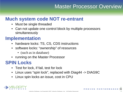### Master Processor Overview

### **Much system code NOT re-entrant**

- Must be single threaded
- Can not update one control block by multiple processors simultaneously

### **Implementation**

- hardware locks: TS, CS, CDS instructions
- software locks: "ownership" of resources
	- (such as in database)
- running on the Master Processor

### **SPIN Locks**

- Test for lock, if fail, test for lock
- Linux uses "spin lock", replaced with Diag44 -> DIAG9C
- Linux spin locks an issue, cost in CPU

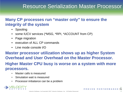### Resource Serialization Master Processor

### **Many CP processes run "master only" to ensure the integrity of the system**

- Spooling
- some IUCV services (\*MSG, \*RPI, \*ACCOUNT from CP)
- Page migration
- execution of ALL CP commands
- Line mode console I/O

**Master processor utilization shows up as higher System Overhead and User Overhead on the Master Processor. Higher Master CPU busy is worse on a system with more processors.**

- Master calls is measured
- Simulation wait is measured
- Processor imbalance can be a problem

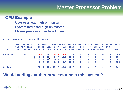### Master Processor Problem

#### **CPU Example**

- **User overhead high on master**
- **System overhead high on master**
- **Master processor can be a limiter**

|          | Report: ESACPUU |             |                |   | CPU Utilization |      |                             |                          |                         |              |              |                                                                          |              |                                                                                   |
|----------|-----------------|-------------|----------------|---|-----------------|------|-----------------------------|--------------------------|-------------------------|--------------|--------------|--------------------------------------------------------------------------|--------------|-----------------------------------------------------------------------------------|
|          |                 |             |                |   |                 |      |                             |                          |                         |              |              |                                                                          |              | <----Load----> <-----CPU (percentages)-----> <------External (per second)-------> |
|          |                 |             | <-Users-> Tran |   |                 |      |                             |                          |                         |              |              | Total Emul User Sys Idle <--Page---> <--Spool--> RSCH+                   |              |                                                                                   |
| Time     |                 |             |                |   |                 |      |                             |                          |                         |              |              | Actv In Q /sec CPU util time ovrhd ovrhd time Read Write Read Write SSCH |              | ExInt                                                                             |
|          |                 |             |                |   |                 |      |                             |                          |                         |              |              |                                                                          |              |                                                                                   |
| 09:19:12 |                 | 7, 5.0, 0.1 |                |   |                 |      | $99.4$ $20.9$ $58.8$ $19.8$ | $\overline{\phantom{0}}$ | $\overline{\mathbf{0}}$ | $\mathbf{0}$ | $\mathbf{0}$ | $\mathbf 0$                                                              | 3            | 140                                                                               |
|          |                 |             |                |   | 84.7            |      | $43\sqrt{6}$ 30.7 10.3 15.0 |                          | $\overline{\mathbf{0}}$ | $\mathbf 0$  | $\mathbf 0$  | $\mathbf{0}$                                                             | $\mathbf{O}$ | 154                                                                               |
|          |                 |             |                |   |                 |      | 84.2 42.2 30.9 10.1 15.5    |                          | $\overline{\mathbf{0}}$ | $\mathbf 0$  | $\mathbf 0$  | $\mathbf 0$                                                              | $\mathbf 0$  | 153                                                                               |
|          |                 |             |                | 4 | 84.5            | 43.6 | $31.1$ 9.7 15.2             |                          | $\mathbf{0}$            | $\mathbf{O}$ | $\Omega$     | $\mathbf{0}$                                                             | $\mathbf{0}$ | 155                                                                               |
|          |                 |             |                |   |                 |      |                             |                          |                         |              |              |                                                                          |              |                                                                                   |
| System:  |                 |             |                |   |                 |      | 352.7 151.3 151.6 49.9 45.7 |                          | $\Omega$                | $\Omega$     | $\Omega$     | $\Omega$                                                                 | 3            | 602                                                                               |

#### **Would adding another processor help this system?**

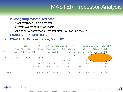# MASTER Processor Analysis

#### • **Investigating Master Overhead**

- User overhead high on master
- System overhead high on master
- All spool I/O performed by master Note I/O lower on master?
- **ESAIUCV: RPI, MSG IUCV**
- **ESACPUA: Page migration, Spool I/O**

|          |     |  |  |                                                                           |      |                   |           |    |     |   |                        | <----Load---> <-----CPU (percentages)-----> . <---External (per second)-> |
|----------|-----|--|--|---------------------------------------------------------------------------|------|-------------------|-----------|----|-----|---|------------------------|---------------------------------------------------------------------------|
|          |     |  |  | <-Users> Tran Total Emul User Sys Idle . <--Page--> <-Spool--> RSCH+      |      |                   |           |    |     |   |                        |                                                                           |
| Time     |     |  |  | Acty InQ /sec CPU util time ovrhd ovrhd time . Read Write Read Write SSCH |      |                   |           |    |     |   |                        |                                                                           |
|          |     |  |  |                                                                           |      |                   |           |    |     |   |                        |                                                                           |
| 10:21:09 | 255 |  |  | 20 23.9 0 86.4 16.7 53.6 16.2 13.4.                                       |      |                   |           | 60 | 71  |   | $\left 4\right\rangle$ | 86                                                                        |
|          |     |  |  | 67.9 35.9                                                                 |      | 23.7 8.4 31.9. 82 |           |    | 56  |   |                        |                                                                           |
|          |     |  |  | 69.5 36.4                                                                 | 24.5 |                   | 8.7 30.3. | 89 | 58  |   |                        | 140                                                                       |
|          |     |  |  | $67.0$ $35.4$ $23.2$ $8.4$ $32.8$ .                                       |      |                   |           | 76 | 71  |   |                        | $0 \t134$                                                                 |
|          |     |  |  |                                                                           |      |                   |           |    |     |   |                        |                                                                           |
| System   |     |  |  | 290.9 124.3 124.9 41.7 108.4. 307                                         |      |                   |           |    | 256 | 9 |                        | 496                                                                       |



6/ PROVEN PERFORMANCE  $3\overline{3}$ 

 $2/$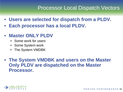### Processor Local Dispatch Vectors

- **Users are selected for dispatch from a PLDV.**
- **Each processor has a local PLDV.**
- **Master ONLY PLDV**
	- Some work for users
	- Some System work
	- The System VMDBK
- **The System VMDBK and users on the Master Only PLDV are dispatched on the Master Processor.**

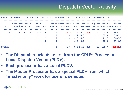# Dispatch Vector Activity

| <b>Report: ESAPLDV</b> |                           |             |      |                         |             | Processor Local Dispatch Vector Activity Linux Test ESAMAP 3.7.4 |                         |                |                 |                              |       |                                                                               |
|------------------------|---------------------------|-------------|------|-------------------------|-------------|------------------------------------------------------------------|-------------------------|----------------|-----------------|------------------------------|-------|-------------------------------------------------------------------------------|
|                        | <----Users----->          |             | Tran |                         |             |                                                                  |                         |                |                 |                              |       | <vmdbk moves="" sec=""> &lt;--------PLDV Lengths------&gt; Dispatcher</vmdbk> |
| Time                   | Logged Actv In Q /sec CPU |             |      |                         |             |                                                                  |                         |                |                 |                              |       | Steals To Master Avg Max Mstr MstrMa %Empty Long Paths                        |
|                        |                           |             |      |                         |             |                                                                  |                         |                |                 |                              |       |                                                                               |
| 12:01:00               |                           | 129 103 118 | 9.1  | $\overline{\mathbf{0}}$ | $\mathbf 0$ |                                                                  |                         |                |                 | $2.5$ $3.2$ $4.0$ $0.0$ $1.$ | 8.3   | 4497.1                                                                        |
|                        |                           |             |      | 1                       | $\mathbf 0$ |                                                                  | $0 \quad 2.1 \quad 4.0$ |                | <b>Contract</b> |                              | 38.3  | 3942.1                                                                        |
|                        |                           |             |      | $\overline{a}$          | $\mathbf 0$ |                                                                  | $0 \t 2.0 \t 4.0$       |                | $\sim 100$      |                              | 41.7  | 3942.7                                                                        |
|                        |                           |             |      | 3                       | $\mathbf 0$ |                                                                  | $0$ 1.8 3.0             |                |                 |                              | 38.3  | 3741.7                                                                        |
|                        |                           |             |      |                         |             |                                                                  |                         |                |                 |                              |       |                                                                               |
| System:                |                           |             |      |                         | $\mathbf 0$ | 2.5                                                              |                         | $9.2$ 15.0 0.0 |                 | $\overline{1}$ .             | 126.7 | 16123.5                                                                       |

- **The Dispatcher selects users from the CPU's Processor Local Dispatch Vector (PLDV).**
- **Each processor has a Local PLDV.**
- **The Master Processor has a special PLDV from which "master only" work for users is selected.**

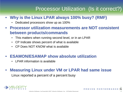# Processor Utilization (Is it correct?)

- **Why is the Linux LPAR always 100% busy? (RMF)**
	- Dedicated processors show up as 100%
- **Processor utilization measurements are NOT consistent between products/commands**
	- This matters when running second level, or in an LPAR
	- CP Indicate shows percent of what is available
	- CP Does NOT KNOW what is available

#### • **ESAMON/ESAMAP show absolute utilization**

• LPAR information is available

### • **Measuring Linux under VM or LPAR had same issue** Linux reported a percent of a percent busy

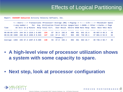**Report: ESASSUM Subsystem Activity Velocity Software, Inc.**

|                                                       |  | <---Users----> Transactions <processor> Storage (MB) &lt;-Paging--&gt; &lt;-----I/0-----&gt; <minidisk> Spool</minidisk></processor> |  |  |                |  |                  |  |               |                 |
|-------------------------------------------------------|--|--------------------------------------------------------------------------------------------------------------------------------------|--|--|----------------|--|------------------|--|---------------|-----------------|
|                                                       |  | <-avg number-> Per Avg. Utilization Fixed Active <pages sec=""> &lt;-DASD--&gt; Other &lt;-Cache--&gt; Page</pages>                  |  |  |                |  |                  |  |               |                 |
| Time                                                  |  | On Acty In Q Minute Resp Total Virt. User Resid. XStore DASD Rate Resp Rate Rate %Hit Rate                                           |  |  |                |  |                  |  |               |                 |
|                                                       |  |                                                                                                                                      |  |  |                |  |                  |  |               |                 |
| 08:00:08 1479 244 34.3 1310.1 0.603 124 87 36.9 192.0 |  |                                                                                                                                      |  |  |                |  | 888 451 641 15.4 |  | 40 687.9 49.3 | 36              |
| $08:01:08$ 1500 248 46.0 1260.9 0.543 147             |  |                                                                                                                                      |  |  | 110 37.3 192.7 |  | 904 494 732 20.1 |  | 37 881.6 53.9 | $\overline{32}$ |
|                                                       |  |                                                                                                                                      |  |  |                |  |                  |  |               |                 |
| Average: 1483 245 37.3 1297.8 0.589 130 93 37.0 192.1 |  |                                                                                                                                      |  |  |                |  | 892 461 664 16.7 |  | 39 736.4 50.7 | -35             |

- **A high-level view of processor utilization shows a system with some capacity to spare.**
- **Next step, look at processor configuration**



6/ PROVEN PERFORMANCE  $3\bar{z}$ 

 $2/$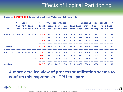| Report: ESACPUU CPU Interval Analysis Velocity Software, Inc. |               |                         |                      |               |                     |                                    |            |          |      |                                                                             |              |    |  |
|---------------------------------------------------------------|---------------|-------------------------|----------------------|---------------|---------------------|------------------------------------|------------|----------|------|-----------------------------------------------------------------------------|--------------|----|--|
|                                                               |               |                         |                      |               |                     |                                    |            |          |      | <----Load----> <-----CPU (percentages)-----> <---Internal (per second)----> |              |    |  |
|                                                               |               |                         | <-Users-> Tran Total |               |                     |                                    |            |          |      | Emul User Sys Idle Diag- Inst. SIE                                          | Fast Page    |    |  |
| Time                                                          |               |                         |                      |               |                     |                                    |            |          |      | Actv In Q /sec CPU util time ovrhd ovrhd time nose sim. intrcp path fault   |              |    |  |
| 08:00:08                                                      | 244 34.3 24.6 | $\overline{\mathbf{0}}$ |                      | 48.5 27.3     | 16.7                | 4.5                                |            | 9.9 1449 | 1478 | 1753                                                                        | $\mathbf 0$  | 18 |  |
|                                                               |               | $\mathbf{1}$            | 35.9                 | 28.8          | 5.2                 | 1.9                                | 11.8       | 818      | 599  | 716                                                                         | $\Omega$     | 9  |  |
|                                                               |               | $\overline{2}$          |                      |               | $39.5$ $31.4$ $5.9$ |                                    | $2.2$ 13.5 | 902      | 682  | 815                                                                         | $\mathbf{O}$ | 11 |  |
| System:                                                       |               |                         |                      |               |                     | 124.0 87.4 27.9 8.7 35.3 3170 2758 |            |          |      | 3284                                                                        | $\Omega$     | 37 |  |
| 08:01:08                                                      | 248 46.0 24.0 | $\overline{\mathbf{0}}$ |                      | $53.6$ $32.5$ | 16.7                | 4.4                                |            | 7.1 1557 | 1588 | 1806                                                                        | $\Omega$     | 24 |  |
|                                                               |               | $\mathbf{1}$            |                      | $44.6$ 37.2   | 5.4                 | 1.9                                | 6.5        | 843      | 594  | 685                                                                         | $\mathbf{O}$ | 11 |  |
|                                                               |               | $\mathbf{2}$            |                      | 48.8 40.2     | 6.4                 | 2.2                                | 7.4        | 903      | 704  | 817                                                                         | $\mathbf{O}$ | 12 |  |
| System:                                                       |               |                         |                      |               | 147.0 109.9 28.5    | $8.6$ 21.0                         |            | 3303     | 2886 | 3308                                                                        | $\mathbf{0}$ | 48 |  |

• **A more detailed view of processor utilization seems to confirm this hypothesis. CPU to spare.**



 $2/$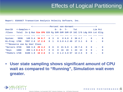| <--------------Percent non-dormant------------------>       |                                                                       |                                         |  |  |  |  |  |  |               |  |  |                                     |  |                         |                         |                  |                                              |
|-------------------------------------------------------------|-----------------------------------------------------------------------|-----------------------------------------|--|--|--|--|--|--|---------------|--|--|-------------------------------------|--|-------------------------|-------------------------|------------------|----------------------------------------------|
| UserID                                                      | $\leq$ -Samples->                                                     |                                         |  |  |  |  |  |  | $E - D - T -$ |  |  | Tst                                 |  |                         |                         | Lim Pct          |                                              |
| /Class                                                      | Total In Q Run Sim CPU SIO Pg SVM SVM SVM CF Idl I/O Ldg Oth Lst Elig |                                         |  |  |  |  |  |  |               |  |  |                                     |  |                         |                         |                  |                                              |
|                                                             |                                                                       |                                         |  |  |  |  |  |  |               |  |  |                                     |  |                         |                         |                  |                                              |
| System: 5936 149 5.4 34 8.7 0 3 0 0 6.0 2 36 4.7 . 0 . 0    |                                                                       |                                         |  |  |  |  |  |  |               |  |  |                                     |  |                         |                         |                  |                                              |
| Hi-Freq: 176K 7057 2.0 17 2.8 0 1 0 3.8 4.2 49 17 3.1 0 0 . |                                                                       |                                         |  |  |  |  |  |  |               |  |  |                                     |  |                         |                         |                  |                                              |
| ***Resource use by User Class                               |                                                                       |                                         |  |  |  |  |  |  |               |  |  |                                     |  |                         |                         |                  |                                              |
| *Servers 3720                                               |                                                                       |                                         |  |  |  |  |  |  |               |  |  |                                     |  |                         |                         |                  | 568 3.0 29 4.2 0 0 0 21 6.9 1 28 7.6 0 0 . 0 |
| *Keys                                                       | 1080                                                                  |                                         |  |  |  |  |  |  |               |  |  | 490 1.6 0.6 6.7 0 0 0 16 19 1 43 13 |  | $\overline{\mathbf{0}}$ |                         | $\overline{0}$ . |                                              |
| *TheUsrs 172K                                               |                                                                       | 6108 1.9 16 2.6 0 1 0 1.2 3.0 57 14 2.5 |  |  |  |  |  |  |               |  |  |                                     |  | $\Omega$                | $\overline{\mathbf{0}}$ |                  | $\mathbf 0$                                  |

**Report: ESAXACT Transaction Analysis Velocity Software, Inc.** 

• **User state sampling shows significant amount of CPU wait as compared to "Running", Simulation wait even greater.**



 $2/$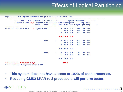|                               |  |  | <----Load----> <--Complex--> <--Logical-> <---------Logical Processor----------><br><-Users-> Tran Phys Dispatch <-Partition> VCPU <%Assigned> Cap- Wait<br>Slice Name No. Addr Total Ovhd Weight ped Comp |             |              |                        |              |     |        | e |
|-------------------------------|--|--|------------------------------------------------------------------------------------------------------------------------------------------------------------------------------------------------------------|-------------|--------------|------------------------|--------------|-----|--------|---|
|                               |  |  | adalaha dala dala dala dala persebut persebut dan pada pengangunan persebut dalam pers<br>08:00:08 244 34.3 24.6 3 Dynamic CMS2 1 0 58.7 0.2                                                               |             |              |                        |              | 155 | No Yes |   |
|                               |  |  |                                                                                                                                                                                                            |             |              | $1\quad 47.8\quad 0.1$ |              | 155 | No Yes |   |
|                               |  |  |                                                                                                                                                                                                            |             |              | $2\quad 53.2\quad 0.1$ |              | 155 | No Yes |   |
|                               |  |  |                                                                                                                                                                                                            |             |              | LPAR 159.7 0.4         |              |     |        |   |
|                               |  |  |                                                                                                                                                                                                            | <b>SWCF</b> | $2^{\circ}$  | $0\quad 36.6\quad 0.1$ |              | 130 | No Yes |   |
|                               |  |  |                                                                                                                                                                                                            |             |              | $1$ 43.0 0.1           |              | 130 | No Yes |   |
|                               |  |  |                                                                                                                                                                                                            |             |              | 2, 46.7, 0.1           |              | 130 | No Yes |   |
|                               |  |  |                                                                                                                                                                                                            |             |              | LPAR 126.3 0.3         |              |     |        |   |
|                               |  |  |                                                                                                                                                                                                            | CMS8        | $3^{\circ}$  | $0 \t 9.1 \t 0.1$      |              | 15  | No Yes |   |
|                               |  |  |                                                                                                                                                                                                            |             | $\mathbf{1}$ |                        | $4.6 \t 0.2$ | 15  | No Yes |   |
|                               |  |  |                                                                                                                                                                                                            |             |              | LPAR 13.7 0.3          |              |     |        |   |
| Total Logical Partition busy: |  |  | Total Physical Management time: 0.366                                                                                                                                                                      |             |              | 299.6                  |              |     |        |   |

- **This system does not have access to 100% of each processor.**
- **Reducing CMS2 LPAR to 2 processors will perform better.**

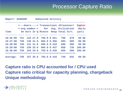### Processor Capture Ratio

| Report: ESASSUM |     |          | <b>Subsystem Activity</b>                           |                  |     |        |
|-----------------|-----|----------|-----------------------------------------------------|------------------|-----|--------|
|                 |     |          | <---Users----> Transactions <processor></processor> |                  |     | Captur |
|                 |     |          | <-avg number-> Per                                  | Avg. Utilization |     | Ratio  |
| Time            |     |          | On Actv In Q Minute Resp Total Virt.                |                  |     | (pct)  |
|                 |     |          |                                                     |                  |     |        |
| 16:26:00        | 741 | 154 27.0 | 765.0 0.521                                         | 799              | 678 | 99.96  |
| 16:27:00        | 738 | 136 41.0 | 602.0 0.356                                         | 693              | 585 | 99.99  |
| 16:28:00        | 740 | 131 31.0 | 695.0 0.318                                         | 688              | 589 | 99.99  |
| 16:29:00        | 739 | 159 32.0 | 665.0 0.437                                         | 858              | 735 | 100.09 |
| 16:30:00        | 738 | 154 34.0 | 783.0 0.435                                         | 656              | 558 | 100.04 |
|                 |     |          |                                                     |                  |     |        |
| Average:        | 738 | 157 35.9 | 793.6 0.416                                         | 740              | 632 | 99.50  |

**Capture ratio is CPU accounted for / CPU used Capture ratio critical for capacity planning, chargeback Unique methodology**

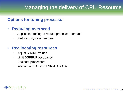### Managing the delivery of CPU Resource

#### **Options for tuning processor**

#### • **Reducing overhead**

- Application tuning to reduce processor demand
- Reducing system overhead

#### • **Reallocating resources**

- Adjust SHARE values
- Limit DSPBUF occupancy
- Dedicate processors
- Interactive BIAS (SET SRM IABIAS)

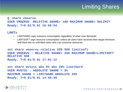# Limiting Shares

#### **Q share vmservu USER VMSERVU :RELATIVE SHARE= 100 MAXIMUM SHARE= NOLIMIT Ready; T=0.01/0.01 16:58:54**

#### **LIMITs**

- LIMITHARD caps resource consumption regardless of other user demands
- LIMITSOFT caps resource consumption unless all users have received their target minimum, and there are no unlimited users who can consume resources

```
set share vmservu relative 200 500 limitsoft
USER VMSERVU : RELATIVE SHARE= 200 MAXIMUM SHARE=LIMITSOFT 
RELATIVE 500
Ready; T=0.01/0.01 17:01:12
```

```
set share mvsys1 abs 5% abs 20% limithard
USER MVSYS1 : ABSOLUTE SHARE = 5%
MAXIMUM SHARE = LIMITHARD ABSOLUTE 20%
Ready; T=0.01/0.01 14:40:49
```
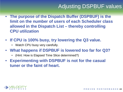# Adjusting DSPBUF values

- **The purpose of the Dispatch Buffer (DSPBUF) is the limit on the number of users of each Scheduler class allowed in the Dispatch List – thereby controlling CPU utilization**
- **If CPU is 100% busy, try lowering the Q3 value.**
	- Watch CPU busy very carefully.
- **What happens if DSPBUF is lowered too far for Q3?**
	- (Hint: How is Elapsed Time Slice determined?)
- **Experimenting with DSPBUF is not for the casual tuner or the faint of heart.**

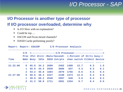### *I/O Processor - SAP*

### **I/O Processor is another type of processor If I/O processor overloaded, determine why**.

- Is I/O Slow with no explanation?
- Could be iop….
- ESCON and Ficon mixed channels?
- DASD Cache performing poorly?

| Report: Report: ESAIOP |                |      |             |      | I/O Processor Analysis                                                           |      |      |     |     |
|------------------------|----------------|------|-------------|------|----------------------------------------------------------------------------------|------|------|-----|-----|
|                        |                |      |             |      |                                                                                  |      |      |     |     |
|                        |                |      |             |      |                                                                                  |      |      |     |     |
|                        |                |      |             |      | Proc <pct util=""> <rate second=""> &lt;-Percent of Strts busy-&gt;</rate></pct> |      |      |     |     |
| Time                   |                |      |             |      | Nmbr Busy Idle SSCH Intrpts chan switch CtlUnit Device                           |      |      |     |     |
|                        |                |      |             |      |                                                                                  |      |      |     |     |
| 21:22:00               | $\mathbf{0}$   | 65.8 | 34.2        | 2690 | 2402                                                                             | 1488 | 12.7 | 0.3 | 1.5 |
|                        | $\mathbf{1}$   |      | $55.6$ 44.4 | 2939 | 3686                                                                             | 837  | 4.3  | 0.3 | 0.1 |
|                        | 2 <sup>7</sup> | 54.2 | 45.8        | 1684 | 2979                                                                             | 1756 | 0.6  | 0.5 | 0.4 |
| 21:27:00               | $\Omega$       | 50.6 | 49.4        | 2227 | 2190                                                                             | 1374 | 12.6 | 0.4 | 0.9 |
|                        | $\mathbf{1}$   | 39.8 | 60.2        | 2540 | 2997                                                                             | 648  | 3.6  | 0.4 | 0.2 |
|                        | $\mathbf{2}$   | 41.2 | 58.8        | 1711 | 2691                                                                             | 1334 | 0.7  | 0.4 | 0.5 |

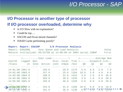### *I/O Processor - SAP*

46

### **I/O Processor is another type of processor If I/O processor overloaded, determine why**.

- Is I/O Slow with no explanation?
- Could be iop....
- ESCON and Ficon mixed channels?
- DASD Cache performing poorly?

| UserID Logged Non- Disc-Total Tran <-------Dispatch List--<br>/Class on Idle Active conn InQue /min Q0 Q1<br>02<br>$Q_3$<br><u> ---- ----- -----</u><br>$6.0$ $2.0$ $7.0$<br>$14:01:00$ $1061.0$ . 156.0<br>1175 5.0<br>$\sim 20.0$                                                                                                                                                                          | Veloc |  |  |  |  | Report: Report: ESAIOP 1/0 Processor Analysis<br>Report: ESAUSRQ User Queue and Load Analysis<br>Monitor initialized: 05/22/08 at 14:00:00 on 2084 serial 15BAF First |
|--------------------------------------------------------------------------------------------------------------------------------------------------------------------------------------------------------------------------------------------------------------------------------------------------------------------------------------------------------------------------------------------------------------|-------|--|--|--|--|-----------------------------------------------------------------------------------------------------------------------------------------------------------------------|
|                                                                                                                                                                                                                                                                                                                                                                                                              |       |  |  |  |  |                                                                                                                                                                       |
|                                                                                                                                                                                                                                                                                                                                                                                                              |       |  |  |  |  |                                                                                                                                                                       |
|                                                                                                                                                                                                                                                                                                                                                                                                              |       |  |  |  |  |                                                                                                                                                                       |
|                                                                                                                                                                                                                                                                                                                                                                                                              |       |  |  |  |  |                                                                                                                                                                       |
| 4.0 6.0<br>$14:02:00$ 1063.0<br>157.0<br>1184<br>5.0<br>$\mathcal{L}^{\text{max}}$<br>. 25.0<br>10.0                                                                                                                                                                                                                                                                                                         |       |  |  |  |  |                                                                                                                                                                       |
| $14:03:00$ 1064.0<br>188.0<br>1423<br>3.0<br>39.0<br>. 52.0<br>2.0<br>8.0<br>$\mathcal{L}^{\text{max}}$                                                                                                                                                                                                                                                                                                      |       |  |  |  |  |                                                                                                                                                                       |
| 203.0<br>28.0<br>$14:04:00$ 1062.0<br>$\mathbf{L}$<br>. 38.0<br>1245<br>3.0<br>1.0<br>6.0                                                                                                                                                                                                                                                                                                                    |       |  |  |  |  |                                                                                                                                                                       |
| $14:05:00$ 1061.0<br>193.0<br>5.0<br>1228<br>8.0<br>29.0<br>. 46.0<br>4.0<br>$\mathcal{L}^{\text{max}}$                                                                                                                                                                                                                                                                                                      |       |  |  |  |  |                                                                                                                                                                       |
| .                                                                                                                                                                                                                                                                                                                                                                                                            |       |  |  |  |  |                                                                                                                                                                       |
| $\pm M$ $\boxplus$ $8$ $\textcircled{10}$ $\textcircled{10}$ $\textcircled{4}$ . $\circ$<br>$\sim 154.0$<br>$10.0$ 5.0 6.0 10.0<br>. 31.0 1185                                                                                                                                                                                                                                                               |       |  |  |  |  |                                                                                                                                                                       |
| $1130$ 6. D $\overline{9}$ $\overline{4}$ $\overline{5}$ $\overline{0}$ $\overline{1}$ $\overline{2}$ $\overline{2}$ $\overline{2}$ $\overline{2}$ $\overline{2}$ $\overline{2}$ $\overline{2}$ $\overline{2}$ $\overline{2}$ $\overline{2}$ $\overline{2}$ $\overline{2}$ $\overline{2}$ $\overline{2}$ $\overline{2}$ $\overline{2}$ $\overline{2}$ $\overline{2}$ $\$<br>14:19:00 1065.0<br>161.0<br>36.0 |       |  |  |  |  |                                                                                                                                                                       |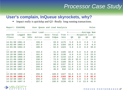#### **User's complain, InQueue skyrockets, why?**

Impact really is quickdsp and Q3 –Really long running transactions.

| Report: ESAUSRQ User Queue and Load Analysis Teloc         |                                   |                                                               |                      |      |                              |      |      |         |
|------------------------------------------------------------|-----------------------------------|---------------------------------------------------------------|----------------------|------|------------------------------|------|------|---------|
|                                                            |                                   | <------------User Load------------> <-------------Average Num |                      |      |                              |      |      |         |
| UserID Logged Non- Disc-Total Tran <-------Dispatch List-- |                                   |                                                               |                      |      |                              |      |      |         |
| /Class on                                                  |                                   | Idle Active conn InQue                                        |                      |      | $\gamma$ min Q0 Q1 Q2 Q3     |      |      |         |
| -------- ------ ----- ------- ------ <i>-----</i>          |                                   |                                                               |                      |      | ---- ----- ----- ----- ----- |      |      |         |
| $14:01:00$ 1061.0 . 156.0 . 20.0                           |                                   |                                                               |                      |      | 1175 5.0                     | 6.0  |      | 2.0 7.0 |
| $14:02:00$ $1063.0$                                        |                                   | $\sim 157.0$                                                  | . 25.0               | 1184 | 10.0                         | 5.0  |      | 4.0 6.0 |
| $14:03:00$ 1064.0 . 188.0 .                                |                                   |                                                               | 52.0                 |      | 1423 3.0                     | 2.0  | 8.0  | 39.0    |
|                                                            |                                   |                                                               |                      |      |                              |      |      |         |
| 14:18:00 1064.0                                            |                                   | . 154.0                                                       | . 31.0               | 1185 | 10.0                         | 5.0  | 6.0  | 10.0    |
| 14:19:00 1065.0                                            | $\mathbf{r}$                      | 161.0                                                         | . 36.0               |      | 1130 6.0                     | 4.0  | 3.0  | 23.0    |
| 14:20:00 1065.0                                            | $\ddot{\phantom{a}}$              | 186.0                                                         | 47.0<br>$\mathbf{A}$ | 1143 | 13.0                         | 3.0  | 1.0  | 30.0    |
| 14:21:00 1066.0                                            | $\mathbf{r}$                      | 190.0                                                         | 72.0<br>$\mathbf{A}$ | 1140 | 25.0                         | 15.0 | 8.0  | 24.0    |
| 14:22:00 1065.0                                            | $\mathbf{L}$                      | 213.0                                                         | . 73.0               | 1189 | 35.0                         | 3.0  | 1.0  | 34.0    |
| 14:23:00 1067.0                                            | $\ddot{\phantom{a}}$              | 243.0                                                         | . 88.0               | 1157 | 31.0                         | 3.0  | 1.0  | 53.0    |
| 14:24:00 1067.0                                            | $\mathcal{L}$                     | 259.0                                                         | . 81.0               | 1105 | 11.0                         | 2.0  | 5.0  | 63.0    |
| $14:25:00$ 1067.0                                          | $\mathbf{L}$                      | 215.0                                                         | . 46.0 932           |      | 12.0                         | 6.0  | 3.0  | 25.0    |
| $\cdots$ .                                                 |                                   |                                                               |                      |      |                              |      |      |         |
| $14:30:00$ $1069.0$                                        |                                   | $\sim 266.0$                                                  | . 108.0              | 1227 | 34.0                         | 6.0  | 7.0  | 61.0    |
| 14:31:00 1069.0                                            | <b>Contract Contract Contract</b> | 274.0                                                         | . 116.0              | 1183 | 30.0                         | 2.0  | 2.0  | 82.0    |
| 14:32:00 1067.0                                            | $\mathcal{L}^{\text{max}}$        | 266.0                                                         | . 126.0 960          |      | 47.0                         | 4.0  | 5.0  | 70.0    |
| 14:33:00 1067.0                                            | $\sim$ $\sim$                     | 257.0                                                         | . 105.0              | 1230 | 43.0                         | 7.0  | 13.0 | 42.0    |

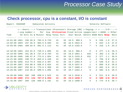#### **Check processor, cpu is a constant, I/O is constant**

| Report: ESASSUM |                           |          | Subsystem Activity                                                                                       |             |    |                 |             | Velocity Software<br>------------------------------                        |                |     |     |      |  |
|-----------------|---------------------------|----------|----------------------------------------------------------------------------------------------------------|-------------|----|-----------------|-------------|----------------------------------------------------------------------------|----------------|-----|-----|------|--|
|                 |                           |          | <---Users----> Transactions <processor> Storage (MB) &lt;-Paging--&gt; &lt;-----I/0-----&gt;</processor> |             |    |                 |             |                                                                            |                |     |     |      |  |
|                 | $\leq -\text{avg number}$ |          | Per                                                                                                      |             |    |                 |             | Avg. Utilization Fixed Active <pages sec=""> &lt;-DASD--&gt; Other</pages> |                |     |     |      |  |
| Time            |                           |          | On Actv In Q Minute Resp Total Virt. User Resid. XStore DASD Rate Resp Rate                              |             |    |                 |             |                                                                            |                |     |     |      |  |
|                 |                           |          |                                                                                                          |             |    |                 |             | ______ ______ ______ _____ ____ ____                                       |                |     |     |      |  |
| 14:01:00 1061   |                           | 156 20.0 |                                                                                                          | 763.0 0.733 | 41 | 35              | 18.5 999.5  | 5                                                                          | 5              | 536 | 1.0 | 27.5 |  |
| 14:02:00 1063   |                           | 157 25.0 |                                                                                                          | 803.0 0.594 | 41 | 35              | 18.5 1022.0 | $\overline{7}$                                                             | $4^{\circ}$    | 634 | 1.0 | 27.8 |  |
| 14:03:00 1064   |                           | 188 52.0 |                                                                                                          | 981.0 1.112 | 41 | 35 <sub>1</sub> | 18.5 1162.0 | $\overline{7}$                                                             | 5              | 318 | 1.0 | 33.4 |  |
|                 |                           |          |                                                                                                          |             |    |                 |             |                                                                            |                |     |     |      |  |
| 14:18:00 1064   |                           | 154 31.0 |                                                                                                          | 729.0 1.055 | 41 | 36              | 18.5 986.5  | $\overline{\mathbf{0}}$                                                    | $\mathbf{3}$   | 277 | 1.0 | 26.3 |  |
| 14:19:00 1065   |                           | 161 36.0 |                                                                                                          | 727.0 0.704 | 41 | 34              | 18.5 1061.1 | 226                                                                        | 3              | 303 | 1.3 | 35.3 |  |
| 14:20:00 1065   |                           | 186 47.0 |                                                                                                          | 773.0 1.954 | 41 | 35              | 18.5 1315.9 | 432                                                                        | $\overline{2}$ | 377 | 1.1 | 30.8 |  |
| 14:21:00 1066   |                           | 190 72.0 |                                                                                                          | 843.0 2.160 | 41 | 34              | 18.7 1308.9 | $\mathbf{1}$                                                               | 2 <sup>1</sup> | 769 | 0.8 | 38.9 |  |
| 14:22:00 1065   |                           | 213 73.0 |                                                                                                          | 833.0 2.367 | 41 | 35              | 18.7 1394.9 | $\mathbf{1}$                                                               | $\mathbf{3}$   | 548 | 0.9 | 31.1 |  |
| 14:23:00 1067   |                           | 243 88.0 |                                                                                                          | 830.0 2.824 | 41 | 35              | 18.9 1537.0 | $\mathbf{1}$                                                               | $\mathbf{3}$   | 858 | 0.8 | 29.8 |  |
| 14:24:00 1067   |                           | 259 81.0 |                                                                                                          | 775.0 2.389 | 41 | 34              | 18.7 1660.4 | 13                                                                         | 3              | 683 | 0.8 | 18.2 |  |
| 14:25:00 1067   |                           | 215 46.0 |                                                                                                          | 509.0 1.095 | 41 | 34              | 18.7 1452.4 | 8                                                                          | $\overline{2}$ | 583 | 0.8 | 28.5 |  |
|                 |                           |          |                                                                                                          |             |    |                 |             |                                                                            |                |     |     |      |  |
| 14:30:00 1069   | 266                       | 108      |                                                                                                          | 838.0 1.623 | 41 | 35              | 19.2 1618.2 | 5                                                                          | $\mathbf{3}$   | 511 | 0.8 | 28.8 |  |
| 14:31:00 1069   | 274                       | 116      |                                                                                                          | 787.0 0.655 | 41 | 35              | 19.2 1630.7 | 8                                                                          | $\mathbf{3}$   | 569 | 0.8 | 29.0 |  |
| 14:32:00 1067   | 266                       | 126      |                                                                                                          | 650.0 1.191 | 41 | 34              | 19.2 1580.9 | 4                                                                          | $\overline{3}$ | 774 | 0.8 | 30.7 |  |

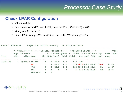#### **Check LPAR Configuration**

- Check weights
- VM shares with MVS and TEST, share is  $179 / (179 + 260 + 5) = 40\%$
- (Only one CP defined)
- VM LPAR is capped!!!! At 40% of one CPU. VM running 100%

| Report: ESALPARS |             |                                                                    | Logical Partition Summary Velocity Software |              |              |          |              |                                                        |         |                      |           |           |       |
|------------------|-------------|--------------------------------------------------------------------|---------------------------------------------|--------------|--------------|----------|--------------|--------------------------------------------------------|---------|----------------------|-----------|-----------|-------|
|                  |             | <--Complex--> <-------Logical Partition---> <-Assigned Shares----> |                                             |              |              |          |              |                                                        |         |                      |           |           | Proce |
|                  |             | Phys Dispatch                                                      |                                             |              |              |          |              | Virt <%Assigned> <---LPAR--> <vcpu pct=""> Cap-</vcpu> |         |                      |           | Wait Type |       |
| Time             | <b>CPUs</b> | Slice Name                                                         |                                             |              |              |          |              | Nbr CPUs Total Ovhd Weight Pct / SYS / CPU             |         |                      | ped       | Comp      |       |
|                  |             |                                                                    |                                             |              |              |          |              |                                                        |         |                      |           |           |       |
| 14:01:00         |             |                                                                    | Dynamic Totals:                             | $\mathbf{0}$ | 3            | 80.4     | 0.5          |                                                        | 444 100 |                      |           |           |       |
|                  |             |                                                                    | <b>VM</b>                                   | $\mathbf{1}$ | $\mathbf{1}$ | 41.2     | 0.1          |                                                        |         | $179$ 40.0 40.0 40.0 | Yes       | No CP     |       |
|                  |             |                                                                    | <b>MVS</b>                                  | $\mathbf{2}$ | $\mathbf{1}$ | 39.2     | 0.4          |                                                        |         | 260 59.1 59.1 59.1   | <b>No</b> | No CP     |       |
|                  |             |                                                                    | <b>TEST</b>                                 | 3            | 1.           | $\Omega$ | $\mathbf{O}$ |                                                        |         | 5, 1.0, 0.96, 0.96   | <b>No</b> | No CP     |       |
|                  |             |                                                                    | <b>TESTTEST</b>                             | 5.           | $\mathbf{0}$ |          |              |                                                        |         |                      |           |           |       |

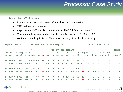#### Check User Wait States

- Running went down as percent of non-dormant, inqueue time.
- CPU wait stayed the same
- Asynchronous I/O wait is bottleneck but DASD I/O was constant?
- Clue something was on the Limit List this is result of SHARE CAP
- Wait state sampling tests I/O Wait before testing Limit. If I/O wait, stops.

| Report: ESAXACT                                            |                                                                            |               |  |                                                             |                         |                         |                         | Transaction Delay Analysis<br>Velocity Software |                                      |  |                    |      |                         |  |            |                         |                               |              |
|------------------------------------------------------------|----------------------------------------------------------------------------|---------------|--|-------------------------------------------------------------|-------------------------|-------------------------|-------------------------|-------------------------------------------------|--------------------------------------|--|--------------------|------|-------------------------|--|------------|-------------------------|-------------------------------|--------------|
|                                                            |                                                                            |               |  | <---------------Percent non-dormant-----------------------> |                         |                         |                         |                                                 |                                      |  |                    |      |                         |  |            |                         |                               | Times        |
| UserID                                                     | $<$ -Samples->                                                             |               |  |                                                             |                         |                         |                         | $E - D - T -$                                   |                                      |  |                    |      |                         |  |            |                         | Tst <asynch> Lim Pct</asynch> | I/O          |
| /Class                                                     | Total In Q Run Sim CPU SIO Pag SVM SVM SVM CF Idl I/O Pag Ldg Oth Lst Elig |               |  |                                                             |                         |                         |                         |                                                 |                                      |  |                    |      |                         |  |            |                         |                               | Throttl      |
|                                                            |                                                                            |               |  |                                                             |                         |                         |                         |                                                 |                                      |  |                    |      |                         |  |            |                         |                               |              |
| $14:01:00$ 1061                                            |                                                                            | 20 5.0 5.0 40 |  |                                                             | $\overline{\mathbf{0}}$ | $\overline{\mathbf{0}}$ | $\overline{\mathbf{0}}$ |                                                 | $0\quad 10$                          |  | $0 35 0$           |      |                         |  | $\Omega$   | $\overline{\mathbf{0}}$ | $\overline{0}$                |              |
| Hi-Freq: 62599 1880 3.1 1.5 39 2.8 0 0 23 4.3 3.3 22 0.8 0 |                                                                            |               |  |                                                             |                         |                         |                         |                                                 |                                      |  |                    |      |                         |  |            | $0 \t 0 \t 3.0$         | $\Omega$                      | $\mathbf{O}$ |
| $14:31:00$ 1069                                            |                                                                            | 1160.90.934   |  |                                                             |                         |                         |                         |                                                 |                                      |  | 0 0 0 1.7 0 3.4 59 |      |                         |  | $\cdot$ 0  | $\overline{\mathbf{0}}$ | $\overline{0}$                |              |
| Hi-Freq: 64140 7755 0.7 1.2 39 1.0 0 0 9.1 2.1 0.3 4.0 42  |                                                                            |               |  |                                                             |                         |                         |                         |                                                 |                                      |  |                    |      | $\overline{\mathbf{0}}$ |  | $0 \t 0.5$ | $\overline{\mathbf{0}}$ | $\Omega$                      | $\mathbf{O}$ |
|                                                            |                                                                            |               |  |                                                             |                         |                         |                         |                                                 |                                      |  |                    |      |                         |  |            |                         |                               |              |
| 14:32:00                                                   | 1067                                                                       | 125           |  | 0, 4.0, 46, 0                                               |                         | $\overline{\mathbf{0}}$ |                         |                                                 | $0 \t 0 \t 2.4$                      |  | $0\;5.6\;42$       |      |                         |  | $\sim$ 0   | $\overline{\mathbf{0}}$ | $\overline{0}$                |              |
| Hi-Freq: 64020 7508 0.8 1.2 42 1.0                         |                                                                            |               |  |                                                             |                         |                         |                         |                                                 | $0 \t 0 \t 8.7 \t 2.1 \t 0.3 \t 3.7$ |  |                    | - 40 | $\overline{0}$          |  | $0 \t 0.5$ | $\Omega$                | $\Omega$                      | $\mathbf{O}$ |



PROVEN PERFORMANCE 5 $\breve{9}$ 

6/

 $2/$